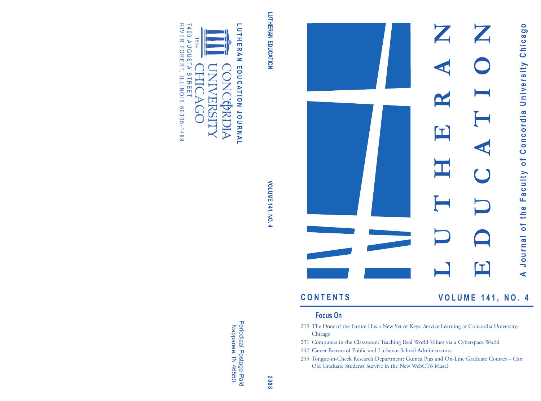



### **C O N T E N T S**

**V O L U M E 1 4 1 , N O . 4**

### **Focus On**

- 219 The Door of the Future Has a New Set of Keys: Service Learning at Concordia University-Chicago
- 231 Computers in the Classroom: Teaching Real World Values via a Cyberspace World
- 247 Career Factors of Public and Lutheran School Administrators
- 255 Tongue-in-Cheek Research Department: Guinea Pigs and On-Line Graduate Courses Can Old Graduate Students Survive in the New WebCT6 Maze?

LUTHERAN EDUCATION **LUTHERAN EDUCATION**

**L U T H**

**E R A N**

**E D U C**

**A T I O N**

**J O U**

**R N A L**

# **VOLUME 141, NO. 4 8 VOLUME 141, NO. 4**

**2 0 0**

Periodical Postage Paid Nappanee, Z 46550



R I V I π<br>R I V I π 7 4 0 0 1864 A U G U S TA FOREST, ILLINOIS S T R E E T YCC 6 0 3 0 5 - 1 4 9 9